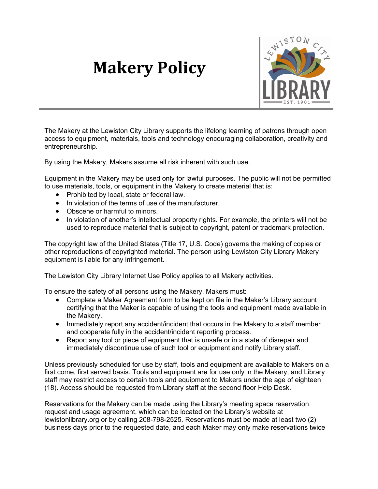## **Makery Policy**



The Makery at the Lewiston City Library supports the lifelong learning of patrons through open access to equipment, materials, tools and technology encouraging collaboration, creativity and entrepreneurship.

By using the Makery, Makers assume all risk inherent with such use.

Equipment in the Makery may be used only for lawful purposes. The public will not be permitted to use materials, tools, or equipment in the Makery to create material that is:

- Prohibited by local, state or federal law.
- In violation of the terms of use of the manufacturer.
- Obscene or harmful to minors.
- In violation of another's intellectual property rights. For example, the printers will not be used to reproduce material that is subject to copyright, patent or trademark protection.

The copyright law of the United States (Title 17, U.S. Code) governs the making of copies or other reproductions of copyrighted material. The person using Lewiston City Library Makery equipment is liable for any infringement.

The Lewiston City Library Internet Use Policy applies to all Makery activities.

To ensure the safety of all persons using the Makery, Makers must:

- Complete a Maker Agreement form to be kept on file in the Maker's Library account certifying that the Maker is capable of using the tools and equipment made available in the Makery.
- Immediately report any accident/incident that occurs in the Makery to a staff member and cooperate fully in the accident/incident reporting process.
- Report any tool or piece of equipment that is unsafe or in a state of disrepair and immediately discontinue use of such tool or equipment and notify Library staff.

Unless previously scheduled for use by staff, tools and equipment are available to Makers on a first come, first served basis. Tools and equipment are for use only in the Makery, and Library staff may restrict access to certain tools and equipment to Makers under the age of eighteen (18). Access should be requested from Library staff at the second floor Help Desk.

Reservations for the Makery can be made using the Library's meeting space reservation request and usage agreement, which can be located on the Library's website at lewistonlibrary.org or by calling 208-798-2525. Reservations must be made at least two (2) business days prior to the requested date, and each Maker may only make reservations twice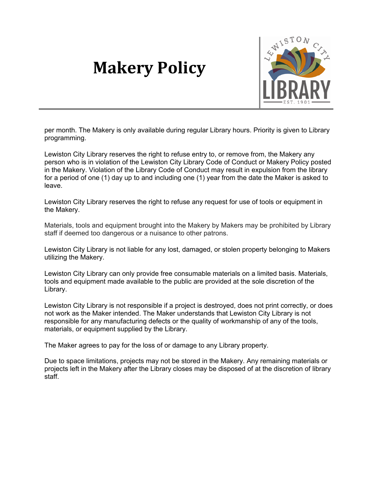## **Makery Policy**



per month. The Makery is only available during regular Library hours. Priority is given to Library programming.

Lewiston City Library reserves the right to refuse entry to, or remove from, the Makery any person who is in violation of the Lewiston City Library Code of Conduct or Makery Policy posted in the Makery. Violation of the Library Code of Conduct may result in expulsion from the library for a period of one (1) day up to and including one (1) year from the date the Maker is asked to leave.

Lewiston City Library reserves the right to refuse any request for use of tools or equipment in the Makery.

Materials, tools and equipment brought into the Makery by Makers may be prohibited by Library staff if deemed too dangerous or a nuisance to other patrons.

Lewiston City Library is not liable for any lost, damaged, or stolen property belonging to Makers utilizing the Makery.

Lewiston City Library can only provide free consumable materials on a limited basis. Materials, tools and equipment made available to the public are provided at the sole discretion of the Library.

Lewiston City Library is not responsible if a project is destroyed, does not print correctly, or does not work as the Maker intended. The Maker understands that Lewiston City Library is not responsible for any manufacturing defects or the quality of workmanship of any of the tools, materials, or equipment supplied by the Library.

The Maker agrees to pay for the loss of or damage to any Library property.

Due to space limitations, projects may not be stored in the Makery. Any remaining materials or projects left in the Makery after the Library closes may be disposed of at the discretion of library staff.